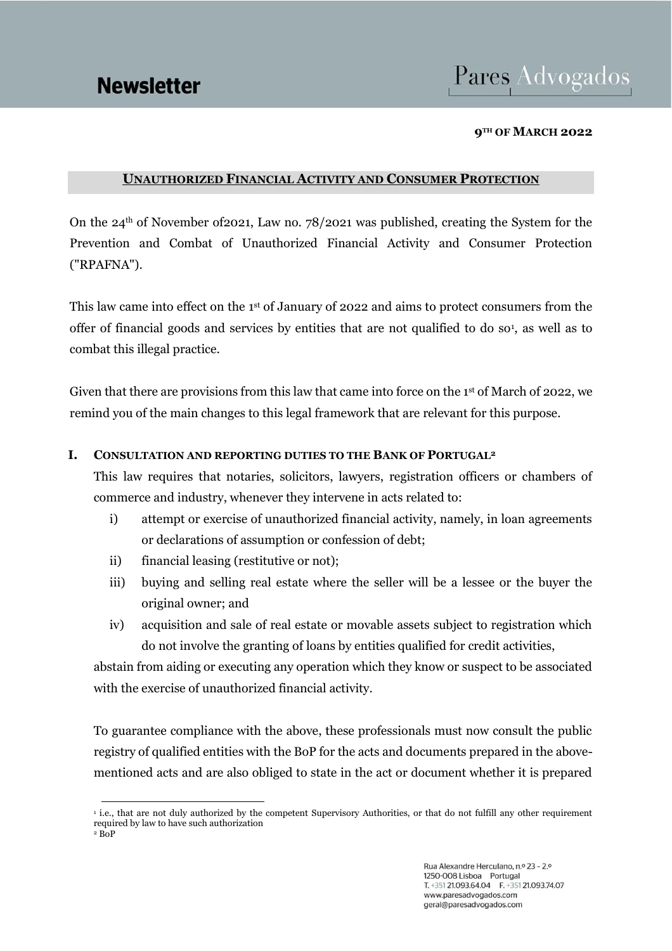# Pares Advogados

#### **9TH OF MARCH 2022**

### **UNAUTHORIZED FINANCIAL ACTIVITY AND CONSUMER PROTECTION**

On the  $24<sup>th</sup>$  of November of 2021, Law no. 78/2021 was published, creating the System for the Prevention and Combat of Unauthorized Financial Activity and Consumer Protection ("RPAFNA").

This law came into effect on the 1st of January of 2022 and aims to protect consumers from the offer of financial goods and services by entities that are not qualified to do so<sup>1</sup>, as well as to combat this illegal practice.

Given that there are provisions from this law that came into force on the 1<sup>st</sup> of March of 2022, we remind you of the main changes to this legal framework that are relevant for this purpose.

### **I. CONSULTATION AND REPORTING DUTIES TO THE BANK OF PORTUGAL<sup>2</sup>**

This law requires that notaries, solicitors, lawyers, registration officers or chambers of commerce and industry, whenever they intervene in acts related to:

- i) attempt or exercise of unauthorized financial activity, namely, in loan agreements or declarations of assumption or confession of debt;
- ii) financial leasing (restitutive or not);
- iii) buying and selling real estate where the seller will be a lessee or the buyer the original owner; and
- iv) acquisition and sale of real estate or movable assets subject to registration which do not involve the granting of loans by entities qualified for credit activities,

abstain from aiding or executing any operation which they know or suspect to be associated with the exercise of unauthorized financial activity.

To guarantee compliance with the above, these professionals must now consult the public registry of qualified entities with the BoP for the acts and documents prepared in the abovementioned acts and are also obliged to state in the act or document whether it is prepared

<sup>1</sup> i.e., that are not duly authorized by the competent Supervisory Authorities, or that do not fulfill any other requirement required by law to have such authorization

 $2$  BoP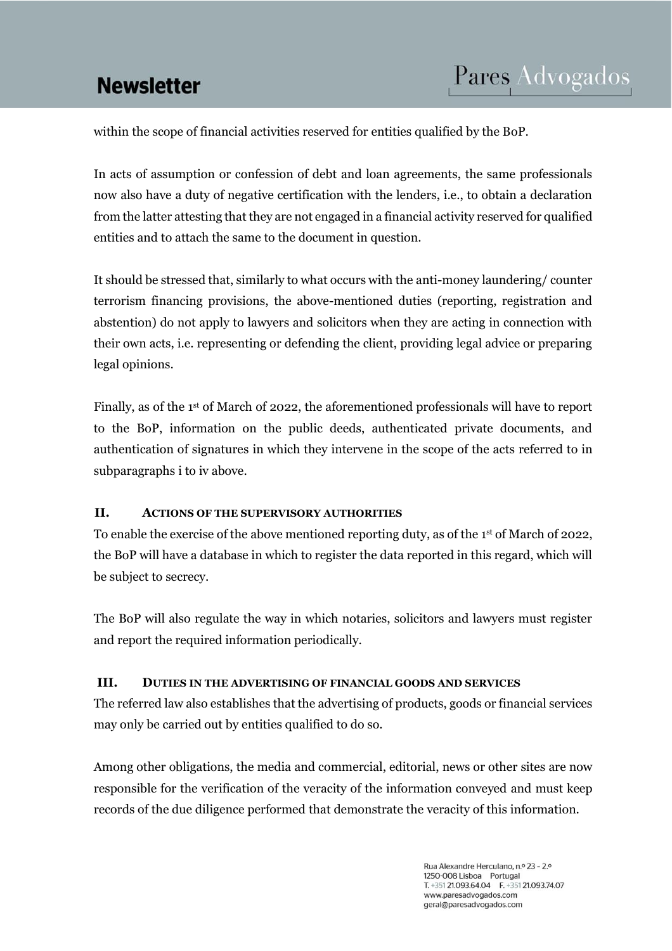# **Newsletter**

within the scope of financial activities reserved for entities qualified by the BoP.

In acts of assumption or confession of debt and loan agreements, the same professionals now also have a duty of negative certification with the lenders, i.e., to obtain a declaration from the latter attesting that they are not engaged in a financial activity reserved for qualified entities and to attach the same to the document in question.

It should be stressed that, similarly to what occurs with the anti-money laundering/ counter terrorism financing provisions, the above-mentioned duties (reporting, registration and abstention) do not apply to lawyers and solicitors when they are acting in connection with their own acts, i.e. representing or defending the client, providing legal advice or preparing legal opinions.

Finally, as of the 1st of March of 2022, the aforementioned professionals will have to report to the BoP, information on the public deeds, authenticated private documents, and authentication of signatures in which they intervene in the scope of the acts referred to in subparagraphs i to iv above.

### **II. ACTIONS OF THE SUPERVISORY AUTHORITIES**

To enable the exercise of the above mentioned reporting duty, as of the 1st of March of 2022, the BoP will have a database in which to register the data reported in this regard, which will be subject to secrecy.

The BoP will also regulate the way in which notaries, solicitors and lawyers must register and report the required information periodically.

### **III. DUTIES IN THE ADVERTISING OF FINANCIAL GOODS AND SERVICES**

The referred law also establishes that the advertising of products, goods or financial services may only be carried out by entities qualified to do so.

Among other obligations, the media and commercial, editorial, news or other sites are now responsible for the verification of the veracity of the information conveyed and must keep records of the due diligence performed that demonstrate the veracity of this information.